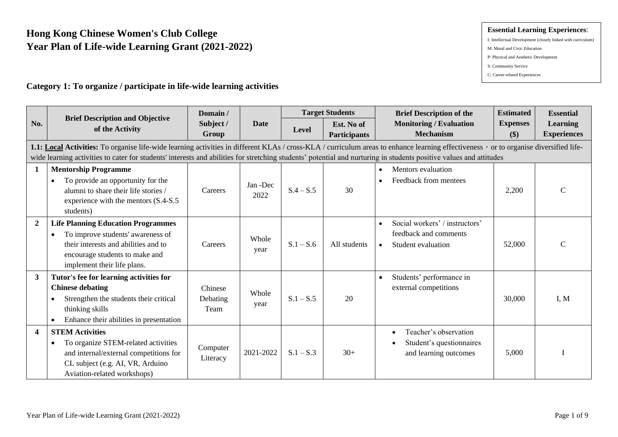## **Hong Kong Chinese Women's Club College Year Plan of Life-wide Learning Grant (2021-2022)**

## **Essential Learning Experiences**:

- I: Intellectual Development (closely linked with curriculum)
- M: Moral and Civic Education
- P: Physical and Aesthetic Development
- S: Community Service
- C: Career-related Experiences

## **Category 1: To organize / participate in life-wide learning activities**

|                  | <b>Brief Description and Objective</b>                                                                                                                                                                                                                                                                                                                      | Domain /                    |                  | <b>Target Students</b> |                                   | <b>Brief Description of the</b>                                                                      | <b>Estimated</b>       | <b>Essential</b>                      |
|------------------|-------------------------------------------------------------------------------------------------------------------------------------------------------------------------------------------------------------------------------------------------------------------------------------------------------------------------------------------------------------|-----------------------------|------------------|------------------------|-----------------------------------|------------------------------------------------------------------------------------------------------|------------------------|---------------------------------------|
| No.              | of the Activity                                                                                                                                                                                                                                                                                                                                             | Subject /<br>Group          | <b>Date</b>      | <b>Level</b>           | Est. No of<br><b>Participants</b> | <b>Monitoring / Evaluation</b><br><b>Mechanism</b>                                                   | <b>Expenses</b><br>\$) | <b>Learning</b><br><b>Experiences</b> |
|                  | 1.1: Local Activities: To organise life-wide learning activities in different KLAs / cross-KLA / curriculum areas to enhance learning effectiveness, or to organise diversified life-<br>wide learning activities to cater for students' interests and abilities for stretching students' potential and nurturing in students positive values and attitudes |                             |                  |                        |                                   |                                                                                                      |                        |                                       |
| 1                | <b>Mentorship Programme</b><br>To provide an opportunity for the<br>$\bullet$<br>alumni to share their life stories /<br>experience with the mentors (S.4-S.5)<br>students)                                                                                                                                                                                 | Careers                     | Jan -Dec<br>2022 | $S.4 - S.5$            | 30                                | Mentors evaluation<br>$\bullet$<br>Feedback from mentees<br>$\bullet$                                | 2,200                  | $\mathcal{C}$                         |
| $\boldsymbol{2}$ | <b>Life Planning Education Programmes</b><br>To improve students' awareness of<br>$\bullet$<br>their interests and abilities and to<br>encourage students to make and<br>implement their life plans.                                                                                                                                                        | Careers                     | Whole<br>year    | $S.1 - S.6$            | All students                      | Social workers' / instructors'<br>feedback and comments<br>Student evaluation<br>$\bullet$           | 52,000                 | C                                     |
| 3                | Tutor's fee for learning activities for<br><b>Chinese debating</b><br>Strengthen the students their critical<br>$\bullet$<br>thinking skills<br>Enhance their abilities in presentation<br>$\bullet$                                                                                                                                                        | Chinese<br>Debating<br>Team | Whole<br>year    | $S.1 - S.5$            | 20                                | Students' performance in<br>$\bullet$<br>external competitions                                       | 30,000                 | I, M                                  |
| 4                | <b>STEM Activities</b><br>To organize STEM-related activities<br>$\bullet$<br>and internal/external competitions for<br>CL subject (e.g. AI, VR, Arduino<br>Aviation-related workshops)                                                                                                                                                                     | Computer<br>Literacy        | 2021-2022        | $S.1 - S.3$            | $30+$                             | Teacher's observation<br>$\bullet$<br>Student's questionnaires<br>$\bullet$<br>and learning outcomes | 5,000                  |                                       |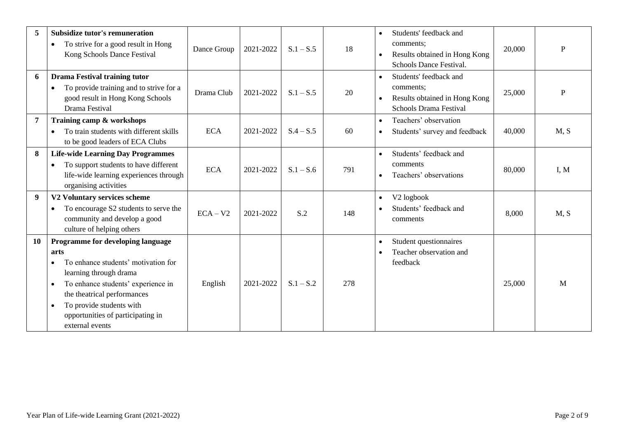| 5              | <b>Subsidize tutor's remuneration</b><br>To strive for a good result in Hong<br>$\bullet$<br>Kong Schools Dance Festival                                                                                                                                                                      | Dance Group | 2021-2022 | $S.1 - S.5$ | 18  | Students' feedback and<br>comments;<br>Results obtained in Hong Kong<br>$\bullet$<br>Schools Dance Festival.                    | 20,000 | P    |
|----------------|-----------------------------------------------------------------------------------------------------------------------------------------------------------------------------------------------------------------------------------------------------------------------------------------------|-------------|-----------|-------------|-----|---------------------------------------------------------------------------------------------------------------------------------|--------|------|
| 6              | <b>Drama Festival training tutor</b><br>To provide training and to strive for a<br>$\bullet$<br>good result in Hong Kong Schools<br>Drama Festival                                                                                                                                            | Drama Club  | 2021-2022 | $S.1 - S.5$ | 20  | Students' feedback and<br>$\bullet$<br>comments:<br>Results obtained in Hong Kong<br>$\bullet$<br><b>Schools Drama Festival</b> | 25,000 | P    |
| $\overline{7}$ | Training camp & workshops<br>To train students with different skills<br>to be good leaders of ECA Clubs                                                                                                                                                                                       | <b>ECA</b>  | 2021-2022 | $S.4 - S.5$ | 60  | Teachers' observation<br>$\bullet$<br>Students' survey and feedback<br>$\bullet$                                                | 40,000 | M, S |
| 8              | <b>Life-wide Learning Day Programmes</b><br>To support students to have different<br>$\bullet$<br>life-wide learning experiences through<br>organising activities                                                                                                                             | <b>ECA</b>  | 2021-2022 | $S.1 - S.6$ | 791 | Students' feedback and<br>$\bullet$<br>comments<br>Teachers' observations<br>$\bullet$                                          | 80,000 | I, M |
| 9              | V2 Voluntary services scheme<br>To encourage S2 students to serve the<br>$\bullet$<br>community and develop a good<br>culture of helping others                                                                                                                                               | $ECA - V2$  | 2021-2022 | S.2         | 148 | V <sub>2</sub> logbook<br>$\bullet$<br>Students' feedback and<br>comments                                                       | 8,000  | M, S |
| 10             | Programme for developing language<br>arts<br>To enhance students' motivation for<br>learning through drama<br>To enhance students' experience in<br>$\bullet$<br>the theatrical performances<br>To provide students with<br>$\bullet$<br>opportunities of participating in<br>external events | English     | 2021-2022 | $S.1 - S.2$ | 278 | Student questionnaires<br>$\bullet$<br>Teacher observation and<br>feedback                                                      | 25,000 | M    |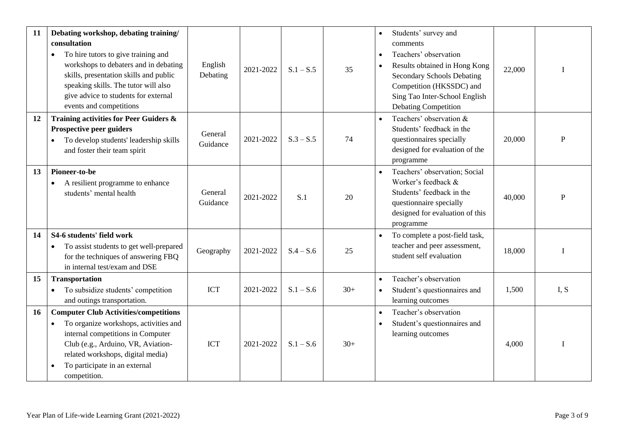| 11 | Debating workshop, debating training/<br>consultation<br>To hire tutors to give training and<br>workshops to debaters and in debating<br>skills, presentation skills and public<br>speaking skills. The tutor will also<br>give advice to students for external<br>events and competitions | English<br>Debating | 2021-2022 | $S.1 - S.5$ | 35    | Students' survey and<br>comments<br>Teachers' observation<br>Results obtained in Hong Kong<br>$\bullet$<br><b>Secondary Schools Debating</b><br>Competition (HKSSDC) and<br>Sing Tao Inter-School English<br><b>Debating Competition</b> | 22,000 |      |
|----|--------------------------------------------------------------------------------------------------------------------------------------------------------------------------------------------------------------------------------------------------------------------------------------------|---------------------|-----------|-------------|-------|------------------------------------------------------------------------------------------------------------------------------------------------------------------------------------------------------------------------------------------|--------|------|
| 12 | Training activities for Peer Guiders &<br>Prospective peer guiders<br>To develop students' leadership skills<br>and foster their team spirit                                                                                                                                               | General<br>Guidance | 2021-2022 | $S.3 - S.5$ | 74    | Teachers' observation &<br>$\bullet$<br>Students' feedback in the<br>questionnaires specially<br>designed for evaluation of the<br>programme                                                                                             | 20,000 | P    |
| 13 | Pioneer-to-be<br>A resilient programme to enhance<br>students' mental health                                                                                                                                                                                                               | General<br>Guidance | 2021-2022 | S.1         | 20    | Teachers' observation; Social<br>Worker's feedback &<br>Students' feedback in the<br>questionnaire specially<br>designed for evaluation of this<br>programme                                                                             | 40,000 | P    |
| 14 | S4-6 students' field work<br>To assist students to get well-prepared<br>٠<br>for the techniques of answering FBQ<br>in internal test/exam and DSE                                                                                                                                          | Geography           | 2021-2022 | $S.4 - S.6$ | 25    | To complete a post-field task,<br>$\bullet$<br>teacher and peer assessment,<br>student self evaluation                                                                                                                                   | 18,000 |      |
| 15 | <b>Transportation</b><br>To subsidize students' competition<br>and outings transportation.                                                                                                                                                                                                 | <b>ICT</b>          | 2021-2022 | $S.1 - S.6$ | $30+$ | Teacher's observation<br>$\bullet$<br>Student's questionnaires and<br>$\bullet$<br>learning outcomes                                                                                                                                     | 1,500  | I, S |
| 16 | <b>Computer Club Activities/competitions</b><br>To organize workshops, activities and<br>$\bullet$<br>internal competitions in Computer<br>Club (e.g., Arduino, VR, Aviation-<br>related workshops, digital media)<br>To participate in an external<br>competition.                        | <b>ICT</b>          | 2021-2022 | $S.1 - S.6$ | $30+$ | Teacher's observation<br>$\bullet$<br>Student's questionnaires and<br>$\bullet$<br>learning outcomes                                                                                                                                     | 4,000  |      |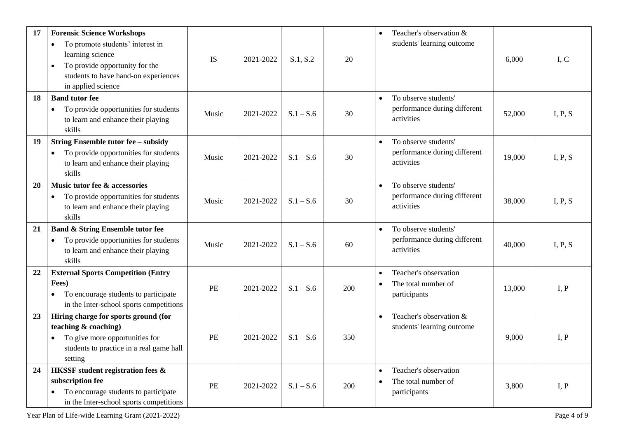| 17 | <b>Forensic Science Workshops</b><br>To promote students' interest in<br>$\bullet$<br>learning science<br>To provide opportunity for the<br>$\bullet$<br>students to have hand-on experiences<br>in applied science | <b>IS</b> | 2021-2022 | S.1, S.2    | 20  | Teacher's observation &<br>students' learning outcome                           | 6,000  | I.C     |
|----|---------------------------------------------------------------------------------------------------------------------------------------------------------------------------------------------------------------------|-----------|-----------|-------------|-----|---------------------------------------------------------------------------------|--------|---------|
| 18 | <b>Band tutor fee</b><br>To provide opportunities for students<br>$\bullet$<br>to learn and enhance their playing<br>skills                                                                                         | Music     | 2021-2022 | $S.1 - S.6$ | 30  | To observe students'<br>$\bullet$<br>performance during different<br>activities | 52,000 | I, P, S |
| 19 | <b>String Ensemble tutor fee - subsidy</b><br>To provide opportunities for students<br>to learn and enhance their playing<br>skills                                                                                 | Music     | 2021-2022 | $S.1 - S.6$ | 30  | To observe students'<br>$\bullet$<br>performance during different<br>activities | 19,000 | I, P, S |
| 20 | Music tutor fee & accessories<br>To provide opportunities for students<br>$\bullet$<br>to learn and enhance their playing<br>skills                                                                                 | Music     | 2021-2022 | $S.1 - S.6$ | 30  | To observe students'<br>performance during different<br>activities              | 38,000 | I, P, S |
| 21 | <b>Band &amp; String Ensemble tutor fee</b><br>To provide opportunities for students<br>$\bullet$<br>to learn and enhance their playing<br>skills                                                                   | Music     | 2021-2022 | $S.1 - S.6$ | 60  | To observe students'<br>performance during different<br>activities              | 40,000 | I, P, S |
| 22 | <b>External Sports Competition (Entry</b><br>Fees)<br>To encourage students to participate<br>in the Inter-school sports competitions                                                                               | PE        | 2021-2022 | $S.1 - S.6$ | 200 | Teacher's observation<br>$\bullet$<br>The total number of<br>participants       | 13,000 | I, P    |
| 23 | Hiring charge for sports ground (for<br>teaching $\&$ coaching)<br>To give more opportunities for<br>students to practice in a real game hall<br>setting                                                            | PE        | 2021-2022 | $S.1 - S.6$ | 350 | Teacher's observation &<br>$\bullet$<br>students' learning outcome              | 9,000  | I, P    |
| 24 | HKSSF student registration fees &<br>subscription fee<br>To encourage students to participate<br>in the Inter-school sports competitions                                                                            | PE        | 2021-2022 | $S.1 - S.6$ | 200 | Teacher's observation<br>The total number of<br>$\bullet$<br>participants       | 3,800  | I, P    |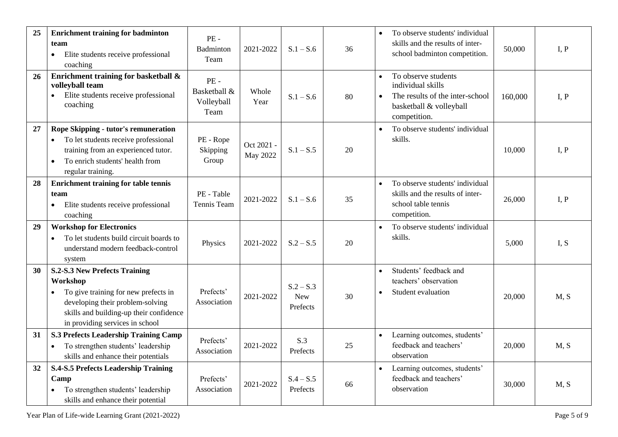| 25 | <b>Enrichment training for badminton</b><br>team<br>Elite students receive professional<br>$\bullet$<br>coaching                                                                                           | $PE -$<br>Badminton<br>Team                  | 2021-2022              | $S.1 - S.6$                           | 36 | To observe students' individual<br>$\bullet$<br>skills and the results of inter-<br>school badminton competition.                                | 50,000  | I, P |
|----|------------------------------------------------------------------------------------------------------------------------------------------------------------------------------------------------------------|----------------------------------------------|------------------------|---------------------------------------|----|--------------------------------------------------------------------------------------------------------------------------------------------------|---------|------|
| 26 | Enrichment training for basketball &<br>volleyball team<br>Elite students receive professional<br>$\bullet$<br>coaching                                                                                    | $PE -$<br>Basketball &<br>Volleyball<br>Team | Whole<br>Year          | $S.1 - S.6$                           | 80 | To observe students<br>$\bullet$<br>individual skills<br>The results of the inter-school<br>$\bullet$<br>basketball & volleyball<br>competition. | 160,000 | I, P |
| 27 | Rope Skipping - tutor's remuneration<br>To let students receive professional<br>training from an experienced tutor.<br>To enrich students' health from<br>$\bullet$<br>regular training.                   | PE - Rope<br>Skipping<br>Group               | Oct 2021 -<br>May 2022 | $S.1 - S.5$                           | 20 | To observe students' individual<br>$\bullet$<br>skills.                                                                                          | 10,000  | I, P |
| 28 | <b>Enrichment training for table tennis</b><br>team<br>Elite students receive professional<br>$\bullet$<br>coaching                                                                                        | PE - Table<br>Tennis Team                    | 2021-2022              | $S.1 - S.6$                           | 35 | To observe students' individual<br>$\bullet$<br>skills and the results of inter-<br>school table tennis<br>competition.                          | 26,000  | I, P |
| 29 | <b>Workshop for Electronics</b><br>To let students build circuit boards to<br>understand modern feedback-control<br>system                                                                                 | Physics                                      | 2021-2022              | $S.2 - S.5$                           | 20 | To observe students' individual<br>$\bullet$<br>skills.                                                                                          | 5,000   | I, S |
| 30 | <b>S.2-S.3 New Prefects Training</b><br>Workshop<br>To give training for new prefects in<br>developing their problem-solving<br>skills and building-up their confidence<br>in providing services in school | Prefects'<br>Association                     | 2021-2022              | $S.2 - S.3$<br><b>New</b><br>Prefects | 30 | Students' feedback and<br>$\bullet$<br>teachers' observation<br>Student evaluation<br>$\bullet$                                                  | 20,000  | M, S |
| 31 | <b>S.3 Prefects Leadership Training Camp</b><br>To strengthen students' leadership<br>skills and enhance their potentials                                                                                  | Prefects'<br>Association                     | 2021-2022              | S.3<br>Prefects                       | 25 | Learning outcomes, students'<br>$\bullet$<br>feedback and teachers'<br>observation                                                               | 20,000  | M, S |
| 32 | <b>S.4-S.5 Prefects Leadership Training</b><br>Camp<br>To strengthen students' leadership<br>skills and enhance their potential                                                                            | Prefects'<br>Association                     | 2021-2022              | $S.4 - S.5$<br>Prefects               | 66 | Learning outcomes, students'<br>$\bullet$<br>feedback and teachers'<br>observation                                                               | 30,000  | M, S |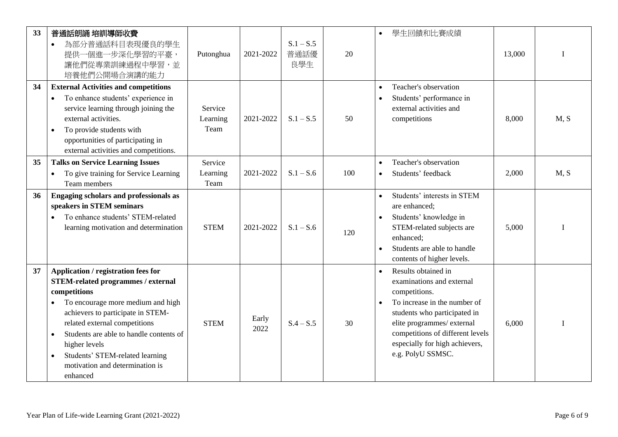| 33 | 普通話朗誦 培訓導師收費<br>為部分普通話科目表現優良的學生<br>$\bullet$<br>提供一個進一步深化學習的平臺,<br>讓他們從專業訓練過程中學習,並<br>培養他們公開場合演講的能力                                                                                                                                                                                                                                                                                 | Putonghua                   | 2021-2022     | $S.1 - S.5$<br>普通話優<br>良學生 | 20  | 學生回饋和比賽成績<br>$\bullet$                                                                                                                                                                                                                                                  | 13,000 |             |
|----|-------------------------------------------------------------------------------------------------------------------------------------------------------------------------------------------------------------------------------------------------------------------------------------------------------------------------------------------------------------------------------------|-----------------------------|---------------|----------------------------|-----|-------------------------------------------------------------------------------------------------------------------------------------------------------------------------------------------------------------------------------------------------------------------------|--------|-------------|
| 34 | <b>External Activities and competitions</b><br>To enhance students' experience in<br>$\bullet$<br>service learning through joining the<br>external activities.<br>To provide students with<br>$\bullet$<br>opportunities of participating in<br>external activities and competitions.                                                                                               | Service<br>Learning<br>Team | 2021-2022     | $S.1 - S.5$                | 50  | Teacher's observation<br>$\bullet$<br>Students' performance in<br>$\bullet$<br>external activities and<br>competitions                                                                                                                                                  | 8,000  | M, S        |
| 35 | <b>Talks on Service Learning Issues</b><br>To give training for Service Learning<br>Team members                                                                                                                                                                                                                                                                                    | Service<br>Learning<br>Team | 2021-2022     | $S.1 - S.6$                | 100 | Teacher's observation<br>$\bullet$<br>Students' feedback<br>$\bullet$                                                                                                                                                                                                   | 2,000  | M, S        |
| 36 | <b>Engaging scholars and professionals as</b><br>speakers in STEM seminars<br>To enhance students' STEM-related<br>learning motivation and determination                                                                                                                                                                                                                            | <b>STEM</b>                 | 2021-2022     | $S.1 - S.6$                | 120 | Students' interests in STEM<br>$\bullet$<br>are enhanced;<br>Students' knowledge in<br>$\bullet$<br>STEM-related subjects are<br>enhanced:<br>Students are able to handle<br>$\bullet$<br>contents of higher levels.                                                    | 5,000  | $\mathbf I$ |
| 37 | Application / registration fees for<br><b>STEM-related programmes / external</b><br>competitions<br>To encourage more medium and high<br>achievers to participate in STEM-<br>related external competitions<br>Students are able to handle contents of<br>$\bullet$<br>higher levels<br>Students' STEM-related learning<br>$\bullet$<br>motivation and determination is<br>enhanced | <b>STEM</b>                 | Early<br>2022 | $S.4 - S.5$                | 30  | Results obtained in<br>$\bullet$<br>examinations and external<br>competitions.<br>To increase in the number of<br>students who participated in<br>elite programmes/ external<br>competitions of different levels<br>especially for high achievers,<br>e.g. PolyU SSMSC. | 6,000  | $\mathbf I$ |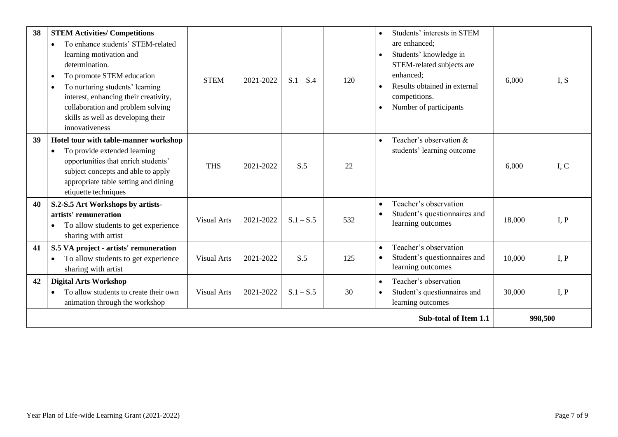| 38 | <b>STEM Activities/ Competitions</b><br>To enhance students' STEM-related<br>$\bullet$<br>learning motivation and<br>determination.<br>To promote STEM education<br>$\bullet$<br>To nurturing students' learning<br>$\bullet$<br>interest, enhancing their creativity,<br>collaboration and problem solving<br>skills as well as developing their<br>innovativeness | <b>STEM</b>        | 2021-2022 | $S.1 - S.4$ | 120 | Students' interests in STEM<br>are enhanced:<br>Students' knowledge in<br>$\bullet$<br>STEM-related subjects are<br>enhanced;<br>Results obtained in external<br>$\bullet$<br>competitions.<br>Number of participants<br>$\bullet$ | 6,000  | I, S |
|----|---------------------------------------------------------------------------------------------------------------------------------------------------------------------------------------------------------------------------------------------------------------------------------------------------------------------------------------------------------------------|--------------------|-----------|-------------|-----|------------------------------------------------------------------------------------------------------------------------------------------------------------------------------------------------------------------------------------|--------|------|
| 39 | Hotel tour with table-manner workshop<br>To provide extended learning<br>$\bullet$<br>opportunities that enrich students'<br>subject concepts and able to apply<br>appropriate table setting and dining<br>etiquette techniques                                                                                                                                     | <b>THS</b>         | 2021-2022 | S.5         | 22  | Teacher's observation &<br>$\bullet$<br>students' learning outcome                                                                                                                                                                 | 6,000  | I, C |
| 40 | S.2-S.5 Art Workshops by artists-<br>artists' remuneration<br>To allow students to get experience<br>sharing with artist                                                                                                                                                                                                                                            | <b>Visual Arts</b> | 2021-2022 | $S.1 - S.5$ | 532 | Teacher's observation<br>$\bullet$<br>Student's questionnaires and<br>$\bullet$<br>learning outcomes                                                                                                                               | 18,000 | I, P |
| 41 | S.5 VA project - artists' remuneration<br>To allow students to get experience<br>$\bullet$<br>sharing with artist                                                                                                                                                                                                                                                   | <b>Visual Arts</b> | 2021-2022 | S.5         | 125 | Teacher's observation<br>$\bullet$<br>Student's questionnaires and<br>learning outcomes                                                                                                                                            | 10,000 | I, P |
| 42 | <b>Digital Arts Workshop</b><br>To allow students to create their own<br>animation through the workshop                                                                                                                                                                                                                                                             | <b>Visual Arts</b> | 2021-2022 | $S.1 - S.5$ | 30  | Teacher's observation<br>$\bullet$<br>Student's questionnaires and<br>$\bullet$<br>learning outcomes                                                                                                                               | 30,000 | I, P |
|    |                                                                                                                                                                                                                                                                                                                                                                     |                    | 998,500   |             |     |                                                                                                                                                                                                                                    |        |      |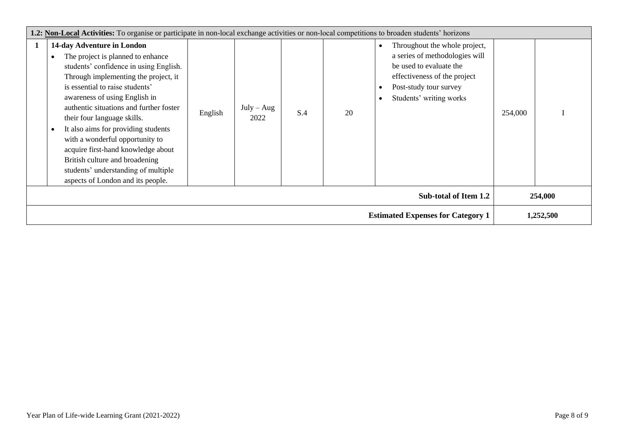|                                          | 1.2: Non-Local Activities: To organise or participate in non-local exchange activities or non-local competitions to broaden students' horizons                                                                                                                                                                                                                                                                                                                                                                                                          |         |                      |     |    |                                                                                                                                                                                              |         |           |
|------------------------------------------|---------------------------------------------------------------------------------------------------------------------------------------------------------------------------------------------------------------------------------------------------------------------------------------------------------------------------------------------------------------------------------------------------------------------------------------------------------------------------------------------------------------------------------------------------------|---------|----------------------|-----|----|----------------------------------------------------------------------------------------------------------------------------------------------------------------------------------------------|---------|-----------|
|                                          | 14-day Adventure in London<br>The project is planned to enhance<br>$\bullet$<br>students' confidence in using English.<br>Through implementing the project, it<br>is essential to raise students'<br>awareness of using English in<br>authentic situations and further foster<br>their four language skills.<br>It also aims for providing students<br>$\bullet$<br>with a wonderful opportunity to<br>acquire first-hand knowledge about<br>British culture and broadening<br>students' understanding of multiple<br>aspects of London and its people. | English | $July - Aug$<br>2022 | S.4 | 20 | Throughout the whole project,<br>a series of methodologies will<br>be used to evaluate the<br>effectiveness of the project<br>Post-study tour survey<br>Students' writing works<br>$\bullet$ | 254,000 |           |
| Sub-total of Item 1.2                    |                                                                                                                                                                                                                                                                                                                                                                                                                                                                                                                                                         |         |                      |     |    |                                                                                                                                                                                              | 254,000 |           |
| <b>Estimated Expenses for Category 1</b> |                                                                                                                                                                                                                                                                                                                                                                                                                                                                                                                                                         |         |                      |     |    |                                                                                                                                                                                              |         | 1,252,500 |